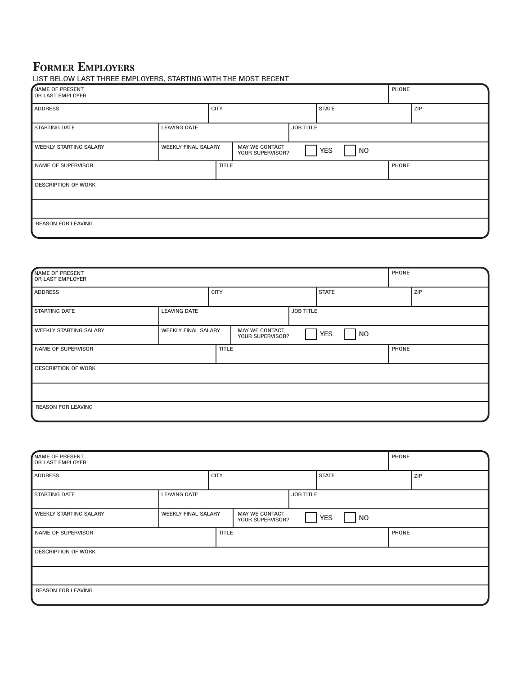# **FORMER EMPLOYERS**

|  | LIST BELOW LAST THREE EMPLOYERS, STARTING WITH THE MOST RECENT |  |  |
|--|----------------------------------------------------------------|--|--|
|  |                                                                |  |  |

| NAME OF PRESENT<br>OR LAST EMPLOYER |                            |              |                                    |           |              |           | PHONE |     |
|-------------------------------------|----------------------------|--------------|------------------------------------|-----------|--------------|-----------|-------|-----|
| <b>ADDRESS</b>                      |                            | <b>CITY</b>  |                                    |           | <b>STATE</b> |           |       | ZIP |
| <b>STARTING DATE</b>                | <b>LEAVING DATE</b>        |              |                                    | JOB TITLE |              |           |       |     |
| <b>WEEKLY STARTING SALARY</b>       | <b>WEEKLY FINAL SALARY</b> |              | MAY WE CONTACT<br>YOUR SUPERVISOR? |           | <b>YES</b>   | <b>NO</b> |       |     |
| NAME OF SUPERVISOR                  |                            | <b>TITLE</b> |                                    |           |              |           | PHONE |     |
| <b>DESCRIPTION OF WORK</b>          |                            |              |                                    |           |              |           |       |     |
|                                     |                            |              |                                    |           |              |           |       |     |
| <b>REASON FOR LEAVING</b>           |                            |              |                                    |           |              |           |       |     |

| NAME OF PRESENT<br>OR LAST EMPLOYER |                            |              |                                           |                  |              |                | PHONE |     |
|-------------------------------------|----------------------------|--------------|-------------------------------------------|------------------|--------------|----------------|-------|-----|
| <b>ADDRESS</b>                      |                            | <b>CITY</b>  |                                           |                  | <b>STATE</b> |                |       | ZIP |
| <b>STARTING DATE</b>                | <b>LEAVING DATE</b>        |              |                                           | <b>JOB TITLE</b> |              |                |       |     |
| <b>WEEKLY STARTING SALARY</b>       | <b>WEEKLY FINAL SALARY</b> |              | <b>MAY WE CONTACT</b><br>YOUR SUPERVISOR? |                  | <b>YES</b>   | N <sub>O</sub> |       |     |
| NAME OF SUPERVISOR                  |                            | <b>TITLE</b> |                                           |                  |              |                | PHONE |     |
| <b>DESCRIPTION OF WORK</b>          |                            |              |                                           |                  |              |                |       |     |
|                                     |                            |              |                                           |                  |              |                |       |     |
| <b>REASON FOR LEAVING</b>           |                            |              |                                           |                  |              |                |       |     |

| NAME OF PRESENT<br>OR LAST EMPLOYER |                            |              |                                    |                  |              |                | PHONE |     |
|-------------------------------------|----------------------------|--------------|------------------------------------|------------------|--------------|----------------|-------|-----|
| <b>ADDRESS</b>                      |                            | <b>CITY</b>  |                                    |                  | <b>STATE</b> |                |       | ZIP |
| <b>STARTING DATE</b>                | <b>LEAVING DATE</b>        |              |                                    | <b>JOB TITLE</b> |              |                |       |     |
| <b>WEEKLY STARTING SALARY</b>       | <b>WEEKLY FINAL SALARY</b> |              | MAY WE CONTACT<br>YOUR SUPERVISOR? |                  | <b>YES</b>   | N <sub>0</sub> |       |     |
| NAME OF SUPERVISOR                  |                            | <b>TITLE</b> |                                    |                  |              |                | PHONE |     |
| <b>DESCRIPTION OF WORK</b>          |                            |              |                                    |                  |              |                |       |     |
|                                     |                            |              |                                    |                  |              |                |       |     |
| <b>REASON FOR LEAVING</b>           |                            |              |                                    |                  |              |                |       |     |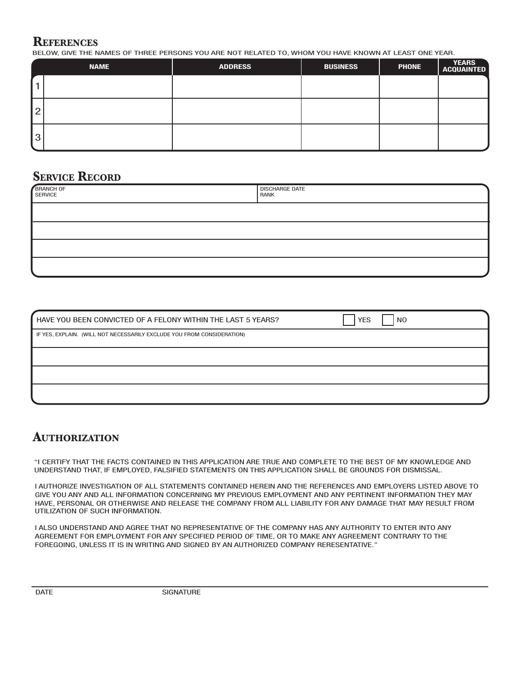#### **REFERENCES**

BELOW, GIVE THE NAMES OF THREE PERSONS YOU ARE NOT RELATED TO, WHOM YOU HAVE KNOWN AT LEAST ONE YEAR.

|           | <b>NAME</b> | <b>ADDRESS</b> | <b>BUSINESS</b> | <b>PHONE</b> | YEARS<br>ACQUAINTED |
|-----------|-------------|----------------|-----------------|--------------|---------------------|
|           |             |                |                 |              |                     |
| <u> 2</u> |             |                |                 |              |                     |
| Ι3        |             |                |                 |              |                     |

## **SERVICE RECORD**

| BRANCH OF<br>SERVICE | <b>DISCHARGE DATE</b><br>RANK |
|----------------------|-------------------------------|
|                      |                               |
|                      |                               |
|                      |                               |
|                      |                               |

| HAVE YOU BEEN CONVICTED OF A FELONY WITHIN THE LAST 5 YEARS?<br><b>YES</b><br>N <sub>0</sub> |  |
|----------------------------------------------------------------------------------------------|--|
| IF YES, EXPLAIN. (WILL NOT NECESSARILY EXCLUDE YOU FROM CONSIDERATION)                       |  |
|                                                                                              |  |
|                                                                                              |  |
|                                                                                              |  |

## **AUTHORIZATION**

"I CERTIFY THAT THE FACTS CONTAINED IN THIS APPLICATION ARE TRUE AND COMPLETE TO THE BEST OF MY KNOWLEDGE AND UNDERSTAND THAT, IF EMPLOYED, FALSIFIED STATEMENTS ON THIS APPLICATION SHALL BE GROUNDS FOR DISMISSAL.

I AUTHORIZE INVESTIGATION OF ALL STATEMENTS CONTAINED HEREIN AND THE REFERENCES AND EMPLOYERS LISTED ABOVE TO GIVE YOU ANY AND ALL INFORMATION CONCERNING MY PREVIOUS EMPLOYMENT AND ANY PERTINENT INFORMATION THEY MAY HAVE, PERSONAL OR OTHERWISE AND RELEASE THE COMPANY FROM ALL LIABILITY FOR ANY DAMAGE THAT MAY RESULT FROM UTILIZATION OF SUCH INFORMATION.

I ALSO UNDERSTAND AND AGREE THAT NO REPRESENTATIVE OF THE COMPANY HAS ANY AUTHORITY TO ENTER INTO ANY AGREEMENT FOR EMPLOYMENT FOR ANY SPECIFIED PERIOD OF TIME, OR TO MAKE ANY AGREEMENT CONTRARY TO THE FOREGOING, UNLESS IT IS IN WRITING AND SIGNED BY AN AUTHORIZED COMPANY RERESENTATIVE."